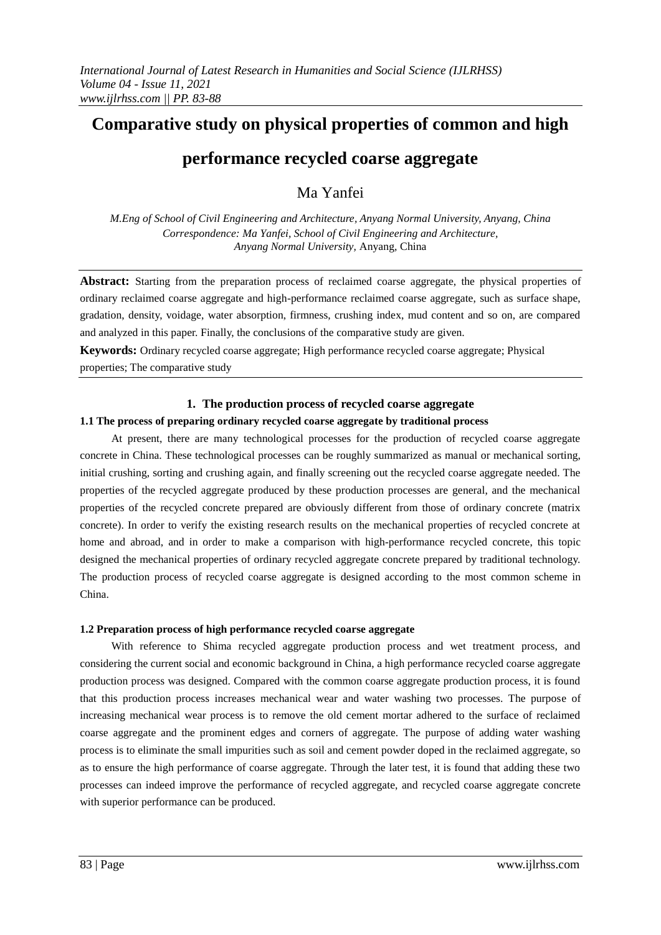# **Comparative study on physical properties of common and high**

## **performance recycled coarse aggregate**

Ma Yanfei

*M.Eng of School of Civil Engineering and Architecture, Anyang Normal University, Anyang, China Correspondence: Ma Yanfei, School of Civil Engineering and Architecture, Anyang Normal University,* Anyang, China

**Abstract:** Starting from the preparation process of reclaimed coarse aggregate, the physical properties of ordinary reclaimed coarse aggregate and high-performance reclaimed coarse aggregate, such as surface shape, gradation, density, voidage, water absorption, firmness, crushing index, mud content and so on, are compared and analyzed in this paper. Finally, the conclusions of the comparative study are given.

**Keywords:** Ordinary recycled coarse aggregate; High performance recycled coarse aggregate; Physical properties; The comparative study

## **1. The production process of recycled coarse aggregate**

## **1.1 The process of preparing ordinary recycled coarse aggregate by traditional process**

At present, there are many technological processes for the production of recycled coarse aggregate concrete in China. These technological processes can be roughly summarized as manual or mechanical sorting, initial crushing, sorting and crushing again, and finally screening out the recycled coarse aggregate needed. The properties of the recycled aggregate produced by these production processes are general, and the mechanical properties of the recycled concrete prepared are obviously different from those of ordinary concrete (matrix concrete). In order to verify the existing research results on the mechanical properties of recycled concrete at home and abroad, and in order to make a comparison with high-performance recycled concrete, this topic designed the mechanical properties of ordinary recycled aggregate concrete prepared by traditional technology. The production process of recycled coarse aggregate is designed according to the most common scheme in China.

### **1.2 Preparation process of high performance recycled coarse aggregate**

With reference to Shima recycled aggregate production process and wet treatment process, and considering the current social and economic background in China, a high performance recycled coarse aggregate production process was designed. Compared with the common coarse aggregate production process, it is found that this production process increases mechanical wear and water washing two processes. The purpose of increasing mechanical wear process is to remove the old cement mortar adhered to the surface of reclaimed coarse aggregate and the prominent edges and corners of aggregate. The purpose of adding water washing process is to eliminate the small impurities such as soil and cement powder doped in the reclaimed aggregate, so as to ensure the high performance of coarse aggregate. Through the later test, it is found that adding these two processes can indeed improve the performance of recycled aggregate, and recycled coarse aggregate concrete with superior performance can be produced.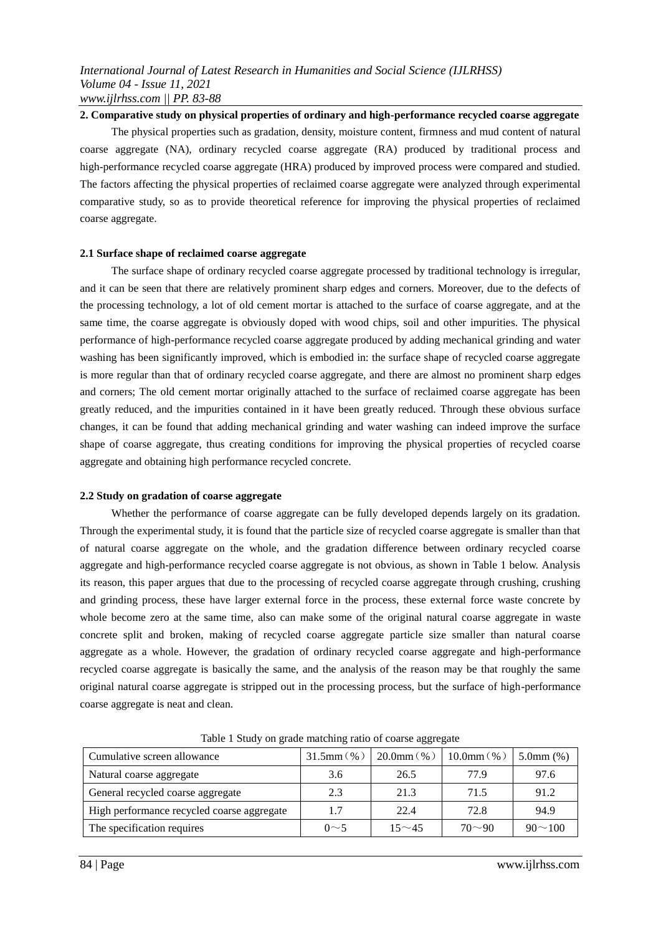**2. Comparative study on physical properties of ordinary and high-performance recycled coarse aggregate** The physical properties such as gradation, density, moisture content, firmness and mud content of natural coarse aggregate (NA), ordinary recycled coarse aggregate (RA) produced by traditional process and high-performance recycled coarse aggregate (HRA) produced by improved process were compared and studied. The factors affecting the physical properties of reclaimed coarse aggregate were analyzed through experimental comparative study, so as to provide theoretical reference for improving the physical properties of reclaimed coarse aggregate.

#### **2.1 Surface shape of reclaimed coarse aggregate**

The surface shape of ordinary recycled coarse aggregate processed by traditional technology is irregular, and it can be seen that there are relatively prominent sharp edges and corners. Moreover, due to the defects of the processing technology, a lot of old cement mortar is attached to the surface of coarse aggregate, and at the same time, the coarse aggregate is obviously doped with wood chips, soil and other impurities. The physical performance of high-performance recycled coarse aggregate produced by adding mechanical grinding and water washing has been significantly improved, which is embodied in: the surface shape of recycled coarse aggregate is more regular than that of ordinary recycled coarse aggregate, and there are almost no prominent sharp edges and corners; The old cement mortar originally attached to the surface of reclaimed coarse aggregate has been greatly reduced, and the impurities contained in it have been greatly reduced. Through these obvious surface changes, it can be found that adding mechanical grinding and water washing can indeed improve the surface shape of coarse aggregate, thus creating conditions for improving the physical properties of recycled coarse aggregate and obtaining high performance recycled concrete.

#### **2.2 Study on gradation of coarse aggregate**

Whether the performance of coarse aggregate can be fully developed depends largely on its gradation. Through the experimental study, it is found that the particle size of recycled coarse aggregate is smaller than that of natural coarse aggregate on the whole, and the gradation difference between ordinary recycled coarse aggregate and high-performance recycled coarse aggregate is not obvious, as shown in Table 1 below. Analysis its reason, this paper argues that due to the processing of recycled coarse aggregate through crushing, crushing and grinding process, these have larger external force in the process, these external force waste concrete by whole become zero at the same time, also can make some of the original natural coarse aggregate in waste concrete split and broken, making of recycled coarse aggregate particle size smaller than natural coarse aggregate as a whole. However, the gradation of ordinary recycled coarse aggregate and high-performance recycled coarse aggregate is basically the same, and the analysis of the reason may be that roughly the same original natural coarse aggregate is stripped out in the processing process, but the surface of high-performance coarse aggregate is neat and clean.

| Cumulative screen allowance                | $31.5$ mm $($ % $)$ | $20.0$ mm $($ % $)$ | 10.0mm $(\% )$ | $5.0$ mm $(%)$ |  |
|--------------------------------------------|---------------------|---------------------|----------------|----------------|--|
| Natural coarse aggregate                   | 3.6                 | 26.5                | 77.9           | 97.6           |  |
| General recycled coarse aggregate          | 2.3                 | 21.3                | 71.5           | 91.2           |  |
| High performance recycled coarse aggregate | 1.7                 | 22.4                | 72.8           | 94.9           |  |
| The specification requires                 | $0\sim$ 5           | $15 - 45$           | $70 - 90$      | $90^{\sim}100$ |  |

Table 1 Study on grade matching ratio of coarse aggregate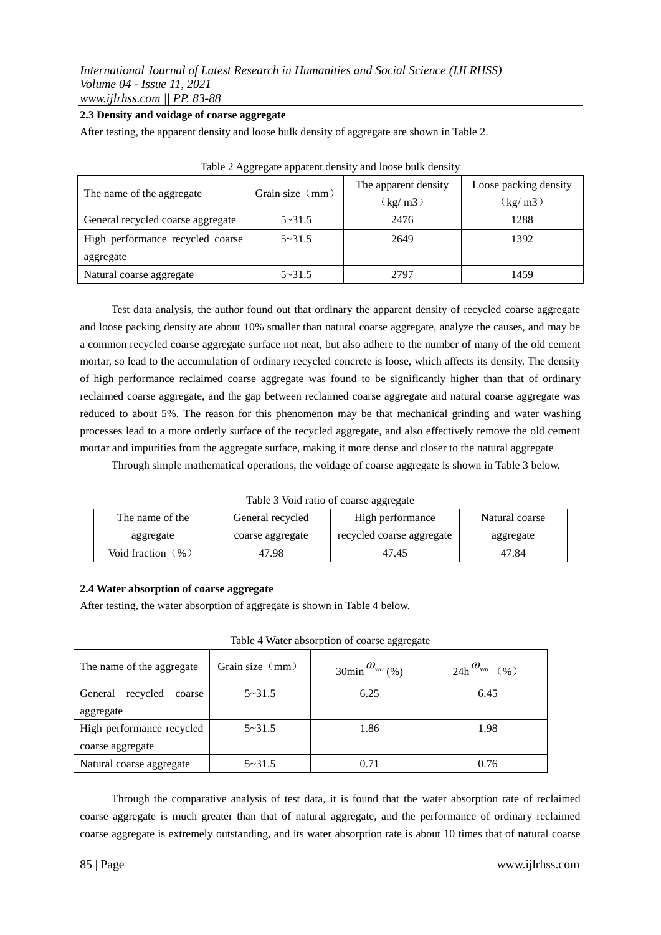#### **2.3 Density and voidage of coarse aggregate**

After testing, the apparent density and loose bulk density of aggregate are shown in Table 2.

|                                   | Grain size $\langle$ mm $\rangle$ | The apparent density         | Loose packing density        |
|-----------------------------------|-----------------------------------|------------------------------|------------------------------|
| The name of the aggregate         |                                   | $\left(\frac{kg}{m3}\right)$ | $\left(\frac{kg}{m3}\right)$ |
| General recycled coarse aggregate | $5 - 31.5$                        | 2476                         | 1288                         |
| High performance recycled coarse  | $5 - 31.5$                        | 2649                         | 1392                         |
| aggregate                         |                                   |                              |                              |
| Natural coarse aggregate          | $5 - 31.5$                        | 2797                         | 1459                         |

| Table 2 Aggregate apparent density and loose bulk density |  |  |  |
|-----------------------------------------------------------|--|--|--|
|-----------------------------------------------------------|--|--|--|

Test data analysis, the author found out that ordinary the apparent density of recycled coarse aggregate and loose packing density are about 10% smaller than natural coarse aggregate, analyze the causes, and may be a common recycled coarse aggregate surface not neat, but also adhere to the number of many of the old cement mortar, so lead to the accumulation of ordinary recycled concrete is loose, which affects its density. The density of high performance reclaimed coarse aggregate was found to be significantly higher than that of ordinary reclaimed coarse aggregate, and the gap between reclaimed coarse aggregate and natural coarse aggregate was reduced to about 5%. The reason for this phenomenon may be that mechanical grinding and water washing processes lead to a more orderly surface of the recycled aggregate, and also effectively remove the old cement mortar and impurities from the aggregate surface, making it more dense and closer to the natural aggregate

Through simple mathematical operations, the voidage of coarse aggregate is shown in Table 3 below.

Table 3 Void ratio of coarse aggregate

|                      |                  | ິ                         |                |
|----------------------|------------------|---------------------------|----------------|
| The name of the      | General recycled | High performance          | Natural coarse |
| aggregate            | coarse aggregate | recycled coarse aggregate | aggregate      |
| Void fraction $($ %) | 47.98            | 47.45                     | 47.84          |

#### **2.4 Water absorption of coarse aggregate**

After testing, the water absorption of aggregate is shown in Table 4 below.

| The name of the aggregate     | Grain size (mm) | $30$ min $\omega_{wa}$ (%) | $24h^{\mathbf{w}_{wa}}$ (%) |
|-------------------------------|-----------------|----------------------------|-----------------------------|
| recycled<br>General<br>coarse | $5 - 31.5$      | 6.25                       | 6.45                        |
| aggregate                     |                 |                            |                             |
| High performance recycled     | $5 - 31.5$      | 1.86                       | 1.98                        |
| coarse aggregate              |                 |                            |                             |
| Natural coarse aggregate      | $5 - 31.5$      | 0.71                       | 0.76                        |

Table 4 Water absorption of coarse aggregate

Through the comparative analysis of test data, it is found that the water absorption rate of reclaimed coarse aggregate is much greater than that of natural aggregate, and the performance of ordinary reclaimed coarse aggregate is extremely outstanding, and its water absorption rate is about 10 times that of natural coarse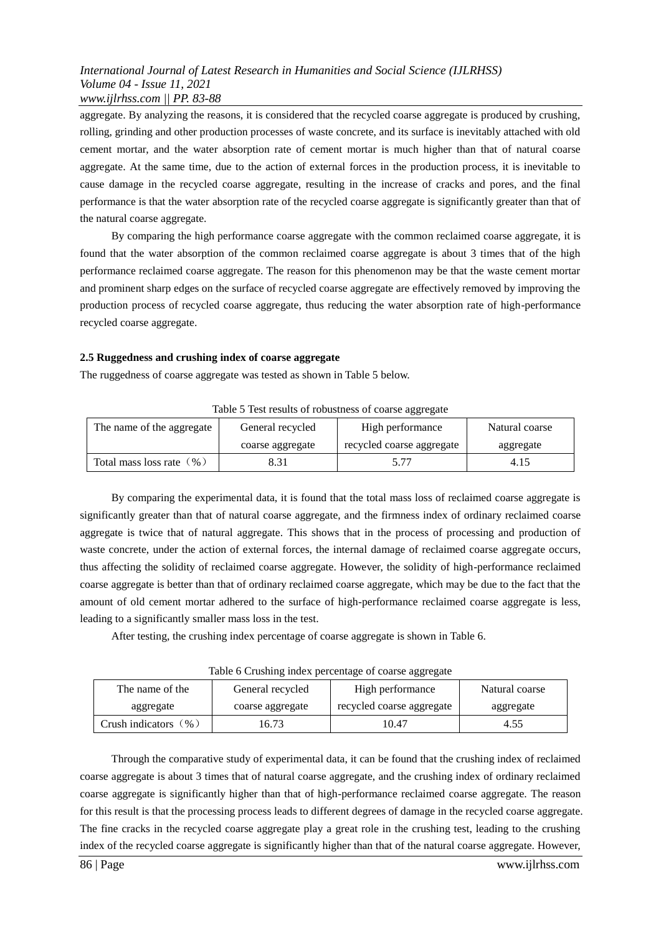## *International Journal of Latest Research in Humanities and Social Science (IJLRHSS) Volume 04 - Issue 11, 2021 www.ijlrhss.com || PP. 83-88*

aggregate. By analyzing the reasons, it is considered that the recycled coarse aggregate is produced by crushing, rolling, grinding and other production processes of waste concrete, and its surface is inevitably attached with old cement mortar, and the water absorption rate of cement mortar is much higher than that of natural coarse aggregate. At the same time, due to the action of external forces in the production process, it is inevitable to cause damage in the recycled coarse aggregate, resulting in the increase of cracks and pores, and the final performance is that the water absorption rate of the recycled coarse aggregate is significantly greater than that of the natural coarse aggregate.

By comparing the high performance coarse aggregate with the common reclaimed coarse aggregate, it is found that the water absorption of the common reclaimed coarse aggregate is about 3 times that of the high performance reclaimed coarse aggregate. The reason for this phenomenon may be that the waste cement mortar and prominent sharp edges on the surface of recycled coarse aggregate are effectively removed by improving the production process of recycled coarse aggregate, thus reducing the water absorption rate of high-performance recycled coarse aggregate.

## **2.5 Ruggedness and crushing index of coarse aggregate**

The ruggedness of coarse aggregate was tested as shown in Table 5 below.

| The name of the aggregate | General recycled | High performance          | Natural coarse |
|---------------------------|------------------|---------------------------|----------------|
|                           | coarse aggregate | recycled coarse aggregate | aggregate      |
| Total mass loss rate (%)  | 8.31             | 5.77                      | 4.15           |

Table 5 Test results of robustness of coarse aggregate

By comparing the experimental data, it is found that the total mass loss of reclaimed coarse aggregate is significantly greater than that of natural coarse aggregate, and the firmness index of ordinary reclaimed coarse aggregate is twice that of natural aggregate. This shows that in the process of processing and production of waste concrete, under the action of external forces, the internal damage of reclaimed coarse aggregate occurs, thus affecting the solidity of reclaimed coarse aggregate. However, the solidity of high-performance reclaimed coarse aggregate is better than that of ordinary reclaimed coarse aggregate, which may be due to the fact that the amount of old cement mortar adhered to the surface of high-performance reclaimed coarse aggregate is less, leading to a significantly smaller mass loss in the test.

After testing, the crushing index percentage of coarse aggregate is shown in Table 6.

| Table of Crushing index percentage of coarse aggregate |                  |                           |                |
|--------------------------------------------------------|------------------|---------------------------|----------------|
| The name of the                                        | General recycled | High performance          | Natural coarse |
| aggregate                                              | coarse aggregate | recycled coarse aggregate | aggregate      |
| Crush indicators $(\% )$                               | 16.73            | 10.47                     | 4.55           |

Table 6 Crushing index percentage of coarse aggregate

Through the comparative study of experimental data, it can be found that the crushing index of reclaimed coarse aggregate is about 3 times that of natural coarse aggregate, and the crushing index of ordinary reclaimed coarse aggregate is significantly higher than that of high-performance reclaimed coarse aggregate. The reason for this result is that the processing process leads to different degrees of damage in the recycled coarse aggregate. The fine cracks in the recycled coarse aggregate play a great role in the crushing test, leading to the crushing index of the recycled coarse aggregate is significantly higher than that of the natural coarse aggregate. However,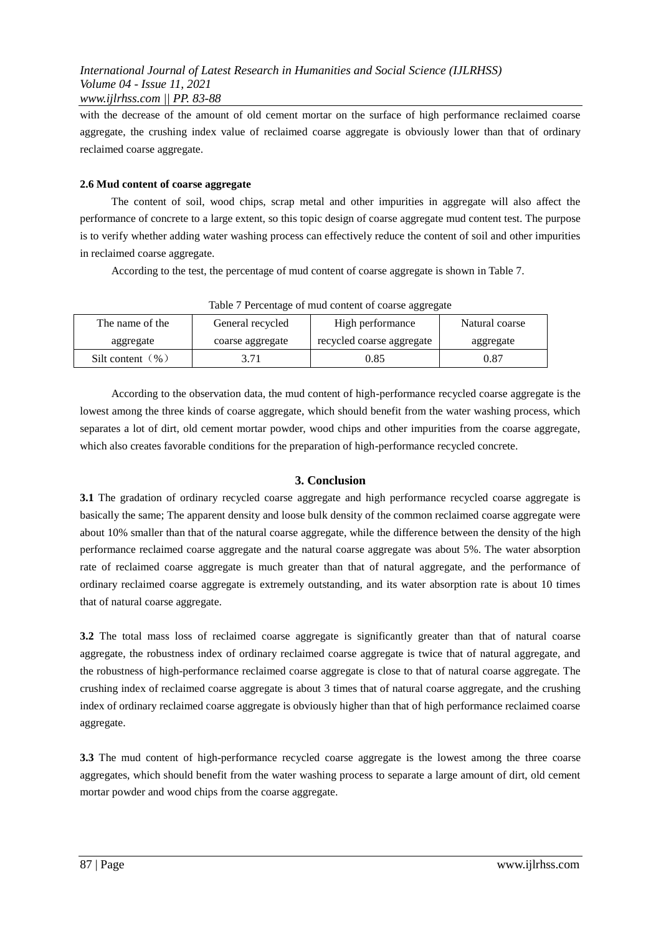with the decrease of the amount of old cement mortar on the surface of high performance reclaimed coarse aggregate, the crushing index value of reclaimed coarse aggregate is obviously lower than that of ordinary reclaimed coarse aggregate.

## **2.6 Mud content of coarse aggregate**

The content of soil, wood chips, scrap metal and other impurities in aggregate will also affect the performance of concrete to a large extent, so this topic design of coarse aggregate mud content test. The purpose is to verify whether adding water washing process can effectively reduce the content of soil and other impurities in reclaimed coarse aggregate.

According to the test, the percentage of mud content of coarse aggregate is shown in Table 7.

| Table / Fercentage of final content of coarse aggregate |                  |                           |                |  |
|---------------------------------------------------------|------------------|---------------------------|----------------|--|
| The name of the                                         | General recycled | High performance          | Natural coarse |  |
| aggregate                                               | coarse aggregate | recycled coarse aggregate | aggregate      |  |
| Silt content $(\% )$                                    | 3.71             | 0.85                      | 0.87           |  |

Table 7 Percentage of mud content of coarse aggregate

According to the observation data, the mud content of high-performance recycled coarse aggregate is the lowest among the three kinds of coarse aggregate, which should benefit from the water washing process, which separates a lot of dirt, old cement mortar powder, wood chips and other impurities from the coarse aggregate, which also creates favorable conditions for the preparation of high-performance recycled concrete.

## **3. Conclusion**

**3.1** The gradation of ordinary recycled coarse aggregate and high performance recycled coarse aggregate is basically the same; The apparent density and loose bulk density of the common reclaimed coarse aggregate were about 10% smaller than that of the natural coarse aggregate, while the difference between the density of the high performance reclaimed coarse aggregate and the natural coarse aggregate was about 5%. The water absorption rate of reclaimed coarse aggregate is much greater than that of natural aggregate, and the performance of ordinary reclaimed coarse aggregate is extremely outstanding, and its water absorption rate is about 10 times that of natural coarse aggregate.

**3.2** The total mass loss of reclaimed coarse aggregate is significantly greater than that of natural coarse aggregate, the robustness index of ordinary reclaimed coarse aggregate is twice that of natural aggregate, and the robustness of high-performance reclaimed coarse aggregate is close to that of natural coarse aggregate. The crushing index of reclaimed coarse aggregate is about 3 times that of natural coarse aggregate, and the crushing index of ordinary reclaimed coarse aggregate is obviously higher than that of high performance reclaimed coarse aggregate.

**3.3** The mud content of high-performance recycled coarse aggregate is the lowest among the three coarse aggregates, which should benefit from the water washing process to separate a large amount of dirt, old cement mortar powder and wood chips from the coarse aggregate.